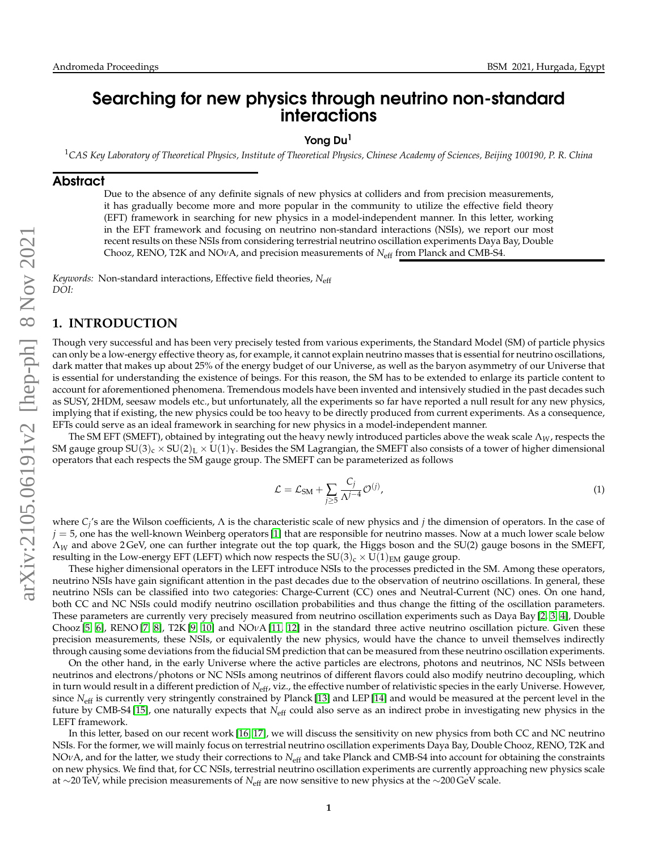# Searching for new physics through neutrino non-standard interactions

Yong Du<sup>1</sup>

<sup>1</sup>*CAS Key Laboratory of Theoretical Physics, Institute of Theoretical Physics, Chinese Academy of Sciences, Beijing 100190, P. R. China*

#### **Abstract**

Due to the absence of any definite signals of new physics at colliders and from precision measurements, it has gradually become more and more popular in the community to utilize the effective field theory (EFT) framework in searching for new physics in a model-independent manner. In this letter, working in the EFT framework and focusing on neutrino non-standard interactions (NSIs), we report our most recent results on these NSIs from considering terrestrial neutrino oscillation experiments Daya Bay, Double Chooz, RENO, T2K and NO*ν*A, and precision measurements of *N*eff from Planck and CMB-S4.

*Keywords:* Non-standard interactions, Effective field theories, *N*eff *DOI:*

#### **1. INTRODUCTION**

Though very successful and has been very precisely tested from various experiments, the Standard Model (SM) of particle physics can only be a low-energy effective theory as, for example, it cannot explain neutrino masses that is essential for neutrino oscillations, dark matter that makes up about 25% of the energy budget of our Universe, as well as the baryon asymmetry of our Universe that is essential for understanding the existence of beings. For this reason, the SM has to be extended to enlarge its particle content to account for aforementioned phenomena. Tremendous models have been invented and intensively studied in the past decades such as SUSY, 2HDM, seesaw models etc., but unfortunately, all the experiments so far have reported a null result for any new physics, implying that if existing, the new physics could be too heavy to be directly produced from current experiments. As a consequence, EFTs could serve as an ideal framework in searching for new physics in a model-independent manner.

The SM EFT (SMEFT), obtained by integrating out the heavy newly introduced particles above the weak scale Λ*W*, respects the SM gauge group  $SU(3)_c \times SU(2)_L \times U(1)_Y$ . Besides the SM Lagrangian, the SMEFT also consists of a tower of higher dimensional operators that each respects the SM gauge group. The SMEFT can be parameterized as follows

<span id="page-0-0"></span>
$$
\mathcal{L} = \mathcal{L}_{\text{SM}} + \sum_{j \ge 5} \frac{C_j}{\Lambda^{j-4}} \mathcal{O}^{(j)},\tag{1}
$$

where *C<sub>j</sub>'*s are the Wilson coefficients, Λ is the characteristic scale of new physics and *j* the dimension of operators. In the case of  $j = 5$ , one has the well-known Weinberg operators [\[1\]](#page-5-0) that are responsible for neutrino masses. Now at a much lower scale below Λ*<sup>W</sup>* and above 2 GeV, one can further integrate out the top quark, the Higgs boson and the SU(2) gauge bosons in the SMEFT, resulting in the Low-energy EFT (LEFT) which now respects the  $SU(3)_c \times U(1)_{EM}$  gauge group.

These higher dimensional operators in the LEFT introduce NSIs to the processes predicted in the SM. Among these operators, neutrino NSIs have gain significant attention in the past decades due to the observation of neutrino oscillations. In general, these neutrino NSIs can be classified into two categories: Charge-Current (CC) ones and Neutral-Current (NC) ones. On one hand, both CC and NC NSIs could modify neutrino oscillation probabilities and thus change the fitting of the oscillation parameters. These parameters are currently very precisely measured from neutrino oscillation experiments such as Daya Bay [\[2,](#page-5-1) [3,](#page-5-2) [4\]](#page-5-3), Double Chooz [\[5,](#page-5-4) [6\]](#page-5-5), RENO [\[7,](#page-5-6) [8\]](#page-5-7), T2K [\[9,](#page-5-8) [10\]](#page-5-9) and NO*ν*A [\[11,](#page-5-10) [12\]](#page-6-0) in the standard three active neutrino oscillation picture. Given these precision measurements, these NSIs, or equivalently the new physics, would have the chance to unveil themselves indirectly through causing some deviations from the fiducial SM prediction that can be measured from these neutrino oscillation experiments.

On the other hand, in the early Universe where the active particles are electrons, photons and neutrinos, NC NSIs between neutrinos and electrons/photons or NC NSIs among neutrinos of different flavors could also modify neutrino decoupling, which in turn would result in a different prediction of *N*eff, viz., the effective number of relativistic species in the early Universe. However, since *N*<sub>eff</sub> is currently very stringently constrained by Planck [\[13\]](#page-6-1) and LEP [\[14\]](#page-6-2) and would be measured at the percent level in the future by CMB-S4 [\[15\]](#page-6-3), one naturally expects that N<sub>eff</sub> could also serve as an indirect probe in investigating new physics in the LEFT framework.

In this letter, based on our recent work [\[16,](#page-6-4) [17\]](#page-6-5), we will discuss the sensitivity on new physics from both CC and NC neutrino NSIs. For the former, we will mainly focus on terrestrial neutrino oscillation experiments Daya Bay, Double Chooz, RENO, T2K and NO*ν*A, and for the latter, we study their corrections to *N*eff and take Planck and CMB-S4 into account for obtaining the constraints on new physics. We find that, for CC NSIs, terrestrial neutrino oscillation experiments are currently approaching new physics scale at ∼20 TeV, while precision measurements of *N*eff are now sensitive to new physics at the ∼200 GeV scale.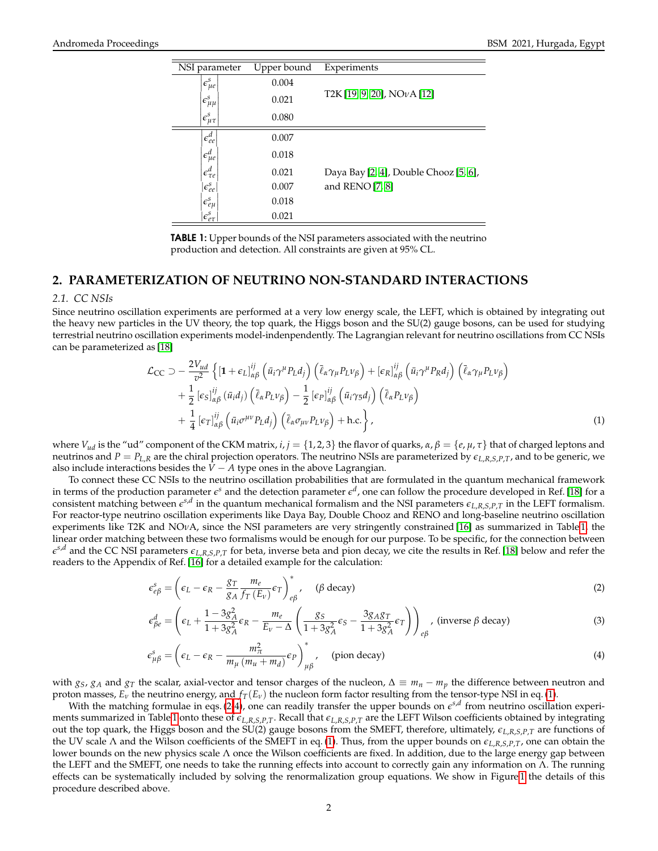| NSI parameter               | Upper bound | Experiments                           |
|-----------------------------|-------------|---------------------------------------|
| $e_{\mu e}^{s}$             | 0.004       |                                       |
| $\iota \epsilon_{\mu\mu}^s$ | 0.021       | $T2K[19, 9, 20]$ , NO $vA[12]$        |
| $ \epsilon^s_{\mu\tau_1}$   | 0.080       |                                       |
| $\epsilon_{ee}^d$           | 0.007       |                                       |
| $ \epsilon_{\mu e}^d $      | 0.018       |                                       |
| $\epsilon_{\tau e}^d$       | 0.021       | Daya Bay [2, 4], Double Chooz [5, 6], |
| $\epsilon_{ee}^s$           | 0.007       | and $RENO[7, 8]$                      |
| $\iota \epsilon_{e\mu}^s$   | 0.018       |                                       |
| $\epsilon_{e\tau}^s$        | 0.021       |                                       |

<span id="page-1-0"></span>TABLE 1: Upper bounds of the NSI parameters associated with the neutrino production and detection. All constraints are given at 95% CL.

### **2. PARAMETERIZATION OF NEUTRINO NON-STANDARD INTERACTIONS**

#### <span id="page-1-4"></span>*2.1. CC NSIs*

Since neutrino oscillation experiments are performed at a very low energy scale, the LEFT, which is obtained by integrating out the heavy new particles in the UV theory, the top quark, the Higgs boson and the SU(2) gauge bosons, can be used for studying terrestrial neutrino oscillation experiments model-indenpendently. The Lagrangian relevant for neutrino oscillations from CC NSIs can be parameterized as [\[18\]](#page-6-8)

<span id="page-1-1"></span>
$$
\mathcal{L}_{CC} \supset -\frac{2V_{ud}}{v^2} \left\{ \left[ \mathbf{1} + \epsilon_L \right]_{\alpha\beta}^{ij} \left( \bar{u}_i \gamma^\mu P_L d_j \right) \left( \bar{\ell}_\alpha \gamma_\mu P_L \nu_\beta \right) + \left[ \epsilon_R \right]_{\alpha\beta}^{ij} \left( \bar{u}_i \gamma^\mu P_R d_j \right) \left( \bar{\ell}_\alpha \gamma_\mu P_L \nu_\beta \right) \right.\n+ \frac{1}{2} \left[ \epsilon_S \right]_{\alpha\beta}^{ij} \left( \bar{u}_i d_j \right) \left( \bar{\ell}_\alpha P_L \nu_\beta \right) - \frac{1}{2} \left[ \epsilon_P \right]_{\alpha\beta}^{ij} \left( \bar{u}_i \gamma_5 d_j \right) \left( \bar{\ell}_\alpha P_L \nu_\beta \right) \n+ \frac{1}{4} \left[ \epsilon_T \right]_{\alpha\beta}^{ij} \left( \bar{u}_i \sigma^{\mu\nu} P_L d_j \right) \left( \bar{\ell}_\alpha \sigma_{\mu\nu} P_L \nu_\beta \right) + \text{h.c.} \right\},
$$
\n(1)

where  $V_{ud}$  is the "ud" component of the CKM matrix,  $i, j = \{1, 2, 3\}$  the flavor of quarks,  $\alpha, \beta = \{e, \mu, \tau\}$  that of charged leptons and neutrinos and  $P = P_{L,R}$  are the chiral projection operators. The neutrino NSIs are parameterized by  $\epsilon_{L,R,S,P,T}$ , and to be generic, we also include interactions besides the  $V - A$  type ones in the above Lagrangian.

To connect these CC NSIs to the neutrino oscillation probabilities that are formulated in the quantum mechanical framework in terms of the production parameter  $\epsilon^s$  and the detection parameter  $\epsilon^d$ , one can follow the procedure developed in Ref. [\[18\]](#page-6-8) for a consistent matching between  $e^{s,d}$  in the quantum mechanical formalism and the NSI parameters  $\epsilon_{L,R,S,P,T}$  in the LEFT formalism. For reactor-type neutrino oscillation experiments like Daya Bay, Double Chooz and RENO and long-baseline neutrino oscillation experiments like T2K and NO*ν*A, since the NSI parameters are very stringently constrained [\[16\]](#page-6-4) as summarized in Table [1,](#page-1-0) the linear order matching between these two formalisms would be enough for our purpose. To be specific, for the connection between  $e^{s,d}$  and the CC NSI parameters  $\epsilon_{L,R,S,P,T}$  for beta, inverse beta and pion decay, we cite the results in Ref. [\[18\]](#page-6-8) below and refer the readers to the Appendix of Ref. [\[16\]](#page-6-4) for a detailed example for the calculation:

$$
\epsilon_{e\beta}^s = \left(\epsilon_L - \epsilon_R - \frac{g_T}{g_A} \frac{m_e}{f_T(E_v)} \epsilon_T\right)_{e\beta}^*, \quad (\beta \text{ decay})
$$
\n(2)

<span id="page-1-2"></span>
$$
\epsilon_{\beta e}^d = \left(\epsilon_L + \frac{1 - 3g_A^2}{1 + 3g_A^2} \epsilon_R - \frac{m_e}{E_v - \Delta} \left(\frac{g_S}{1 + 3g_A^2} \epsilon_S - \frac{3g_A g_T}{1 + 3g_A^2} \epsilon_T\right)\right)_{e\beta}, \text{ (inverse } \beta \text{ decay)}
$$
(3)

<span id="page-1-3"></span>
$$
\epsilon_{\mu\beta}^s = \left(\epsilon_L - \epsilon_R - \frac{m_{\pi}^2}{m_{\mu}(m_u + m_d)} \epsilon_P\right)_{\mu\beta}^*, \quad \text{(pion decay)}\tag{4}
$$

with  $g_S$ ,  $g_A$  and  $g_T$  the scalar, axial-vector and tensor charges of the nucleon,  $\Delta \equiv m_n - m_p$  the difference between neutron and proton masses,  $E_\nu$  the neutrino energy, and  $f_T(E_\nu)$  the nucleon form factor resulting from the tensor-type NSI in eq. [\(1\)](#page-1-1).

With the matching formulae in eqs. [\(2](#page-1-2)[-4\)](#page-1-3), one can readily transfer the upper bounds on  $e^{s,d}$  from neutrino oscillation experi-ments summarized in Table [1](#page-1-0) onto these of  $\epsilon_{L,R,S,P,T}$ . Recall that  $\epsilon_{L,R,S,P,T}$  are the LEFT Wilson coefficients obtained by integrating out the top quark, the Higgs boson and the SU(2) gauge bosons from the SMEFT, therefore, ultimately,  $\epsilon_{L,R,S,P,T}$  are functions of the UV scale Λ and the Wilson coefficients of the SMEFT in eq. [\(1\)](#page-0-0). Thus, from the upper bounds on *eL*,*R*,*S*,*P*,*T*, one can obtain the lower bounds on the new physics scale Λ once the Wilson coefficients are fixed. In addition, due to the large energy gap between the LEFT and the SMEFT, one needs to take the running effects into account to correctly gain any information on Λ. The running effects can be systematically included by solving the renormalization group equations. We show in Figure [1](#page-2-0) the details of this procedure described above.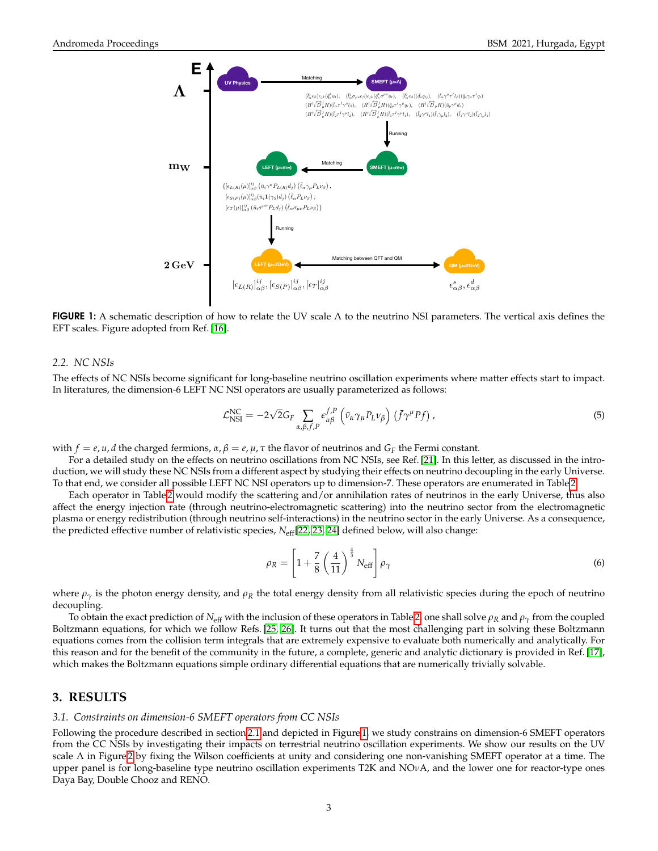

<span id="page-2-0"></span>**FIGURE 1:** A schematic description of how to relate the UV scale  $\Lambda$  to the neutrino NSI parameters. The vertical axis defines the EFT scales. Figure adopted from Ref. [\[16\]](#page-6-4).

#### <span id="page-2-1"></span>*2.2. NC NSIs*

The effects of NC NSIs become significant for long-baseline neutrino oscillation experiments where matter effects start to impact. In literatures, the dimension-6 LEFT NC NSI operators are usually parameterized as follows:

$$
\mathcal{L}_{\text{NSI}}^{\text{NC}} = -2\sqrt{2}G_F \sum_{\alpha,\beta,f,P} \epsilon_{\alpha\beta}^{f,P} \left( \bar{v}_{\alpha} \gamma_{\mu} P_L v_{\beta} \right) \left( \bar{f} \gamma^{\mu} P f \right), \tag{5}
$$

with  $f = e, u, d$  the charged fermions,  $\alpha, \beta = e, \mu, \tau$  the flavor of neutrinos and  $G_F$  the Fermi constant.

For a detailed study on the effects on neutrino oscillations from NC NSIs, see Ref. [\[21\]](#page-6-9). In this letter, as discussed in the introduction, we will study these NC NSIs from a different aspect by studying their effects on neutrino decoupling in the early Universe. To that end, we consider all possible LEFT NC NSI operators up to dimension-7. These operators are enumerated in Table [2.](#page-3-0)

Each operator in Table [2](#page-3-0) would modify the scattering and/or annihilation rates of neutrinos in the early Universe, thus also affect the energy injection rate (through neutrino-electromagnetic scattering) into the neutrino sector from the electromagnetic plasma or energy redistribution (through neutrino self-interactions) in the neutrino sector in the early Universe. As a consequence, the predicted effective number of relativistic species, N<sub>eff</sub>[\[22,](#page-6-10) [23,](#page-6-11) [24\]](#page-6-12) defined below, will also change:

$$
\rho_R = \left[1 + \frac{7}{8} \left(\frac{4}{11}\right)^{\frac{4}{3}} N_{\text{eff}}\right] \rho_\gamma \tag{6}
$$

where  $\rho_{\gamma}$  is the photon energy density, and  $\rho_R$  the total energy density from all relativistic species during the epoch of neutrino decoupling.

To obtain the exact prediction of *N*<sub>eff</sub> with the inclusion of these operators in Table [2,](#page-3-0) one shall solve  $\rho_R$  and  $\rho_\gamma$  from the coupled Boltzmann equations, for which we follow Refs. [\[25,](#page-6-13) [26\]](#page-6-14). It turns out that the most challenging part in solving these Boltzmann equations comes from the collision term integrals that are extremely expensive to evaluate both numerically and analytically. For this reason and for the benefit of the community in the future, a complete, generic and analytic dictionary is provided in Ref. [\[17\]](#page-6-5), which makes the Boltzmann equations simple ordinary differential equations that are numerically trivially solvable.

## **3. RESULTS**

#### *3.1. Constraints on dimension-6 SMEFT operators from CC NSIs*

Following the procedure described in section [2.1](#page-1-4) and depicted in Figure [1,](#page-2-0) we study constrains on dimension-6 SMEFT operators from the CC NSIs by investigating their impacts on terrestrial neutrino oscillation experiments. We show our results on the UV scale Λ in Figure [2](#page-4-0) by fixing the Wilson coefficients at unity and considering one non-vanishing SMEFT operator at a time. The upper panel is for long-baseline type neutrino oscillation experiments T2K and NO*ν*A, and the lower one for reactor-type ones Daya Bay, Double Chooz and RENO.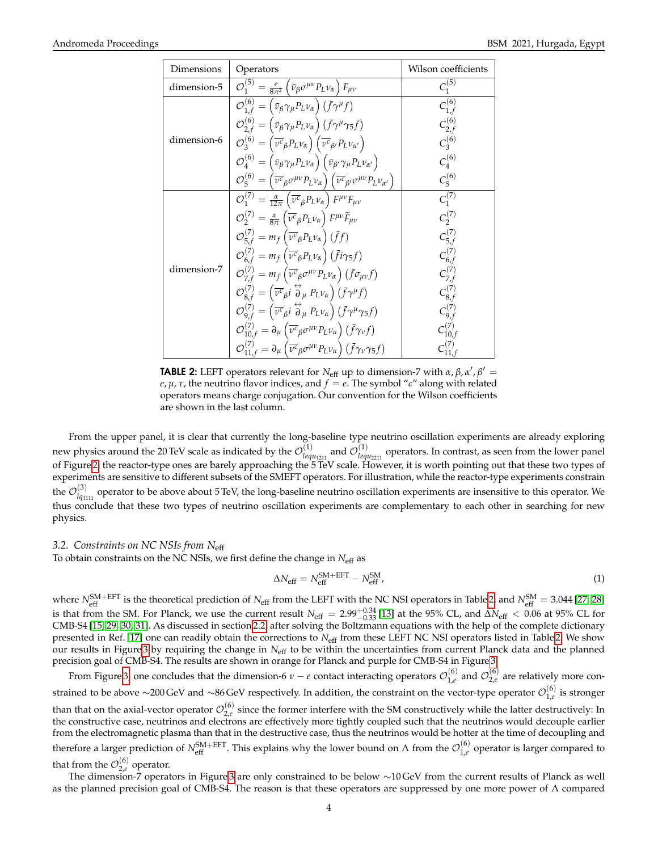| Dimensions  | Operators                                                                                                                                                                             | Wilson coefficients          |
|-------------|---------------------------------------------------------------------------------------------------------------------------------------------------------------------------------------|------------------------------|
| dimension-5 | $\mathcal{O}_1^{(5)} = \frac{e}{8\pi^2} \left( \bar{\nu}_{\beta} \sigma^{\mu \nu} P_L \nu_{\alpha} \right) F_{\mu \nu}$                                                               | $C_1^{(5)}$                  |
| dimension-6 | $\mathcal{O}_{1,f}^{(6)} = (\bar{v}_{\beta} \gamma_{\mu} P_L v_{\alpha}) (\bar{f} \gamma^{\mu} f)$                                                                                    | $C_{1,f}^{(6)}$              |
|             | $\mathcal{O}_{2,f}^{(6)} = (\bar{v}_{\beta} \gamma_{\mu} P_L v_{\alpha}) (\bar{f} \gamma^{\mu} \gamma_5 f)$                                                                           | $C_{2,f}^{(6)}$              |
|             | $\mathcal{O}_3^{(6)} = (\overline{\nu^c}_\beta P_L \nu_\alpha) (\overline{\nu^c}_\beta P_L \nu_{\alpha'})$                                                                            | $C_3^{(6)}$                  |
|             | $\mathcal{O}_4^{(6)} = (\bar{v}_{\beta} \gamma_{\mu} P_L v_{\alpha}) (\bar{v}_{\beta'} \gamma_{\mu} P_L v_{\alpha'})$                                                                 | $C_4^{(6)}$                  |
|             | $\mathcal{O}_5^{(6)} = (\overline{\nu^c}_{\beta} \sigma^{\mu \nu} P_L \nu_{\alpha}) (\overline{\nu^c}_{\beta'} \sigma^{\mu \nu} P_L \nu_{\alpha'})$                                   | $C_5^{(6)}$                  |
| dimension-7 | $\mathcal{O}_1^{(7)} = \frac{\alpha}{12\pi} \left( \overline{\nu^c}_\beta P_L \nu_\alpha \right) F^{\mu\nu} F_{\mu\nu}$                                                               | $C_1^{(7)}$                  |
|             | $\mathcal{O}_{2}^{(7)} = \frac{\alpha}{8\pi} \left( \overline{\nu^c}_{\beta} P_L \nu_{\alpha} \right) F^{\mu\nu} \widetilde{F}_{\mu\nu}$                                              | $C_2^{(7)}$                  |
|             | $\mathcal{O}_{5,f}^{(7)} = m_f \left( \overline{\nu^c}_{\beta} P_L \nu_{\alpha} \right) (\overline{f}f)$                                                                              | $C_{5,f}^{(7)}$              |
|             | $\mathcal{O}_{6\,f}^{(7)} = m_f \left( \overline{\nu^c}_\beta P_L \nu_\alpha \right) \left( \overline{f} i \gamma_5 f \right)$                                                        | $C_{6,f}^{(7)}$              |
|             | $\mathcal{O}_{7,f}^{(7)} = m_f \left( \overline{\nu^c}_{\beta} \sigma^{\mu \nu} P_L \nu_{\alpha} \right) \left( \overline{f} \sigma_{\mu \nu} f \right)$                              | $C_{7,f}^{(7)}$              |
|             | $\mathcal{O}_{8,f}^{(7)} = \left(\overline{\nu^c}_{\beta} i \stackrel{\leftrightarrow}{\partial}_{\mu} P_L \nu_{\alpha}\right) \left(\overline{f} \gamma^{\mu} f\right)$              | $C_{8,f}^{(7)}$              |
|             | $\mathcal{O}_{9,f}^{(7)} = \left( \overline{\nu^c}_{\beta} i \stackrel{\leftrightarrow}{\partial}_{\mu} P_L \nu_{\alpha} \right) \left( \overline{f} \gamma^{\mu} \gamma_5 f \right)$ | $C_{9,f}^{\left( 7\right) }$ |
|             | $\mathcal{O}_{10,f}^{(7)} = \partial_{\mu} \left( \overline{\nu^c}_{\beta} \sigma^{\mu \nu} P_L \nu_{\alpha} \right) \left( \overline{f} \gamma_{\nu} f \right)$                      | $C_{10,f}^{(7)}$             |
|             | $\mathcal{O}_{11,f}^{(7)} = \partial_{\mu} \left( \overline{\nu^c}_{\beta} \sigma^{\mu \nu} P_L \nu_{\alpha} \right) \left( \overline{f} \gamma_{\nu} \gamma_5 f \right)$             |                              |

<span id="page-3-0"></span>**TABLE 2:** LEFT operators relevant for  $N_{\text{eff}}$  up to dimension-7 with  $\alpha$ ,  $\beta$ ,  $\alpha'$ ,  $\beta' =$  $e, \mu, \tau$ , the neutrino flavor indices, and  $f = e$ . The symbol "*c*" along with related operators means charge conjugation. Our convention for the Wilson coefficients are shown in the last column.

From the upper panel, it is clear that currently the long-baseline type neutrino oscillation experiments are already exploring new physics around the 20 TeV scale as indicated by the  $\mathcal{O}^{(1)}_{\lbrack eq}$  $\frac{(1)}{lequ_{1211}}$  and  $\mathcal{O}^{(1)}_{leq}$  $\frac{d^{(1)}}{d^{(2)}(2)}$  operators. In contrast, as seen from the lower panel of Figure [2,](#page-4-0) the reactor-type ones are barely approaching the 5 TeV scale. However, it is worth pointing out that these two types of experiments are sensitive to different subsets of the SMEFT operators. For illustration, while the reactor-type experiments constrain the  $\mathcal{O}_{lq_{11}}^{(3)}$  $l_{q_{1111}}^{(9)}$  operator to be above about 5 TeV, the long-baseline neutrino oscillation experiments are insensitive to this operator. We thus conclude that these two types of neutrino oscillation experiments are complementary to each other in searching for new physics.

## *3.2. Constraints on NC NSIs from N*eff

To obtain constraints on the NC NSIs, we first define the change in *N*<sub>eff</sub> as

$$
\Delta N_{\rm eff} = N_{\rm eff}^{\rm SM+EFT} - N_{\rm eff}^{\rm SM},\tag{1}
$$

where  $N_{\text{eff}}^{\text{SM+EFT}}$  is the theoretical prediction of  $N_{\text{eff}}$  from the LEFT with the NC NSI operators in Table [2,](#page-3-0) and  $N_{\text{eff}}^{\text{SM}} = 3.044$  [\[27,](#page-6-15) [28\]](#page-6-16) is that from the SM. For Planck, we use the current result  $N_{\text{eff}} = 2.99_{-0.33}^{+0.34}$  [\[13\]](#page-6-1) at the 95% CL, and  $\Delta N_{\text{eff}} < 0.06$  at 95% CL for CMB-S4 [\[15,](#page-6-3) [29,](#page-6-17) [30,](#page-6-18) [31\]](#page-6-19). As discussed in section [2.2,](#page-2-1) after solving the Bolt presented in Ref. [\[17\]](#page-6-5) one can readily obtain the corrections to *N*eff from these LEFT NC NSI operators listed in Table [2.](#page-3-0) We show our results in Figure [3](#page-5-11) by requiring the change in *N*eff to be within the uncertainties from current Planck data and the planned precision goal of CMB-S4. The results are shown in orange for Planck and purple for CMB-S4 in Figure [3.](#page-5-11)

From Figure [3,](#page-5-11) one concludes that the dimension-6 *ν* − *e* contact interacting operators  $\mathcal{O}_{1,e}^{(6)}$  $^{(6)}_{1,e}$  and  $\mathcal{O}^{(6)}_{2,e}$  $2e^{(0)}$  are relatively more constrained to be above  $\sim$ 200 GeV and  $\sim$ 86 GeV respectively. In addition, the constraint on the vector-type operator  $\mathcal{O}_{1,e}^{(6)}$  $_{1,e}^{(0)}$  is stronger than that on the axial-vector operator  $\mathcal{O}_{2,e}^{(6)}$  $2_e^{\binom{0}{2}}$  since the former interfere with the SM constructively while the latter destructively: In the constructive case, neutrinos and electrons are effectively more tightly coupled such that the neutrinos would decouple earlier from the electromagnetic plasma than that in the destructive case, thus the neutrinos would be hotter at the time of decoupling and therefore a larger prediction of  $N_{\text{eff}}^{\text{SM+EFT}}$ . This explains why the lower bound on Λ from the  $\mathcal{O}_{1,e}^{(6)}$  $_{1,e}^{(0)}$  operator is larger compared to that from the  $\mathcal{O}_{2,e}^{(6)}$  $_{2,e}^{(0)}$  operator.

The dimension-7 operators in Figure [3](#page-5-11) are only constrained to be below ∼10 GeV from the current results of Planck as well as the planned precision goal of CMB-S4. The reason is that these operators are suppressed by one more power of  $\Lambda$  compared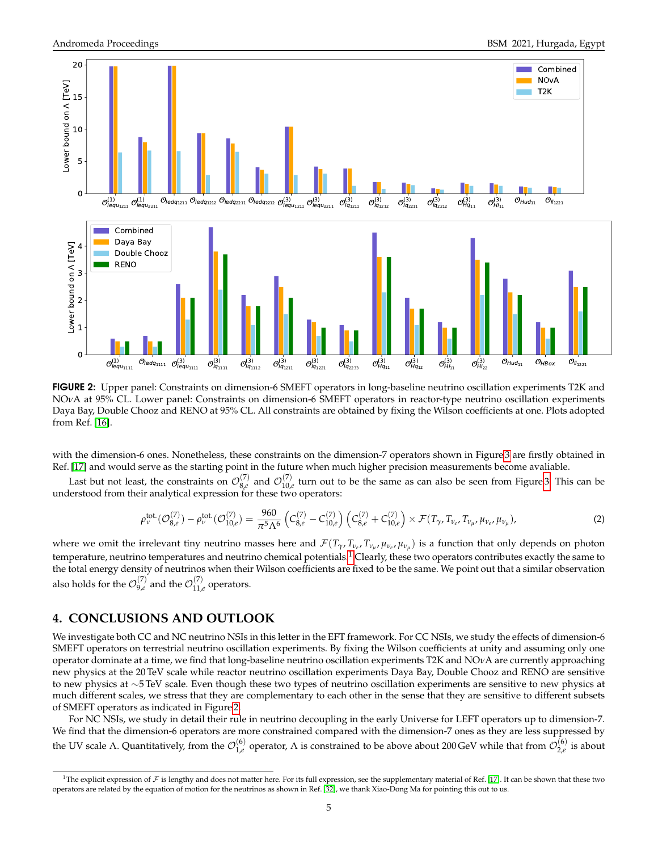

<span id="page-4-0"></span>FIGURE 2: Upper panel: Constraints on dimension-6 SMEFT operators in long-baseline neutrino oscillation experiments T2K and NO*ν*A at 95% CL. Lower panel: Constraints on dimension-6 SMEFT operators in reactor-type neutrino oscillation experiments Daya Bay, Double Chooz and RENO at 95% CL. All constraints are obtained by fixing the Wilson coefficients at one. Plots adopted from Ref. [\[16\]](#page-6-4).

with the dimension-6 ones. Nonetheless, these constraints on the dimension-7 operators shown in Figure [3](#page-5-11) are firstly obtained in Ref. [\[17\]](#page-6-5) and would serve as the starting point in the future when much higher precision measurements become avaliable.

Last but not least, the constraints on  $\mathcal{O}_{8,\ell}^{(7)}$  $\frac{(7)}{8,e}$  and  $\mathcal{O}_{10,e}^{(7)}$  $\frac{1}{10,e}$  turn out to be the same as can also be seen from Figure [3.](#page-5-11) This can be understood from their analytical expression for these two operators:

$$
\rho_{\nu}^{\text{tot.}}(\mathcal{O}_{8,e}^{(7)}) - \rho_{\nu}^{\text{tot.}}(\mathcal{O}_{10,e}^{(7)}) = \frac{960}{\pi^5 \Lambda^6} \left( C_{8,e}^{(7)} - C_{10,e}^{(7)} \right) \left( C_{8,e}^{(7)} + C_{10,e}^{(7)} \right) \times \mathcal{F}(T_{\gamma}, T_{\nu_e}, T_{\nu_{\mu}}, \mu_{\nu_e}, \mu_{\nu_{\mu}}), \tag{2}
$$

where we omit the irrelevant tiny neutrino masses here and  $\mathcal{F}(T_\gamma,T_{\nu_e},T_{\nu_\mu},\mu_{\nu_e},\mu_{\nu_\mu})$  is a function that only depends on photon temperature, neutrino temperatures and neutrino chemical potentials.<sup>[1](#page-4-1)</sup> Clearly, these two operators contributes exactly the same to the total energy density of neutrinos when their Wilson coefficients are fixed to be the same. We point out that a similar observation also holds for the  $\mathcal{O}_{9,e}^{(7)}$  $^{(7)}_{9,e}$  and the  $\mathcal{O}^{(7)}_{11,e}$  $_{11,e}^{(7)}$  operators.

### **4. CONCLUSIONS AND OUTLOOK**

We investigate both CC and NC neutrino NSIs in this letter in the EFT framework. For CC NSIs, we study the effects of dimension-6 SMEFT operators on terrestrial neutrino oscillation experiments. By fixing the Wilson coefficients at unity and assuming only one operator dominate at a time, we find that long-baseline neutrino oscillation experiments T2K and NO*ν*A are currently approaching new physics at the 20 TeV scale while reactor neutrino oscillation experiments Daya Bay, Double Chooz and RENO are sensitive to new physics at ∼5 TeV scale. Even though these two types of neutrino oscillation experiments are sensitive to new physics at much different scales, we stress that they are complementary to each other in the sense that they are sensitive to different subsets of SMEFT operators as indicated in Figure [2.](#page-4-0)

For NC NSIs, we study in detail their rule in neutrino decoupling in the early Universe for LEFT operators up to dimension-7. We find that the dimension-6 operators are more constrained compared with the dimension-7 ones as they are less suppressed by the UV scale  $\Lambda$ . Quantitatively, from the  $\mathcal{O}_{1,e}^{(6)}$ <sup>(6)</sup> operator,  $\Lambda$  is constrained to be above about 200 GeV while that from  $\mathcal{O}_{2,e}^{(6)}$  $\sum_{i=1}^{\infty}$  is about

<span id="page-4-1"></span><sup>&</sup>lt;sup>1</sup>The explicit expression of  $\mathcal F$  is lengthy and does not matter here. For its full expression, see the supplementary material of Ref. [\[17\]](#page-6-5). It can be shown that these two operators are related by the equation of motion for the neutrinos as shown in Ref. [\[32\]](#page-6-20), we thank Xiao-Dong Ma for pointing this out to us.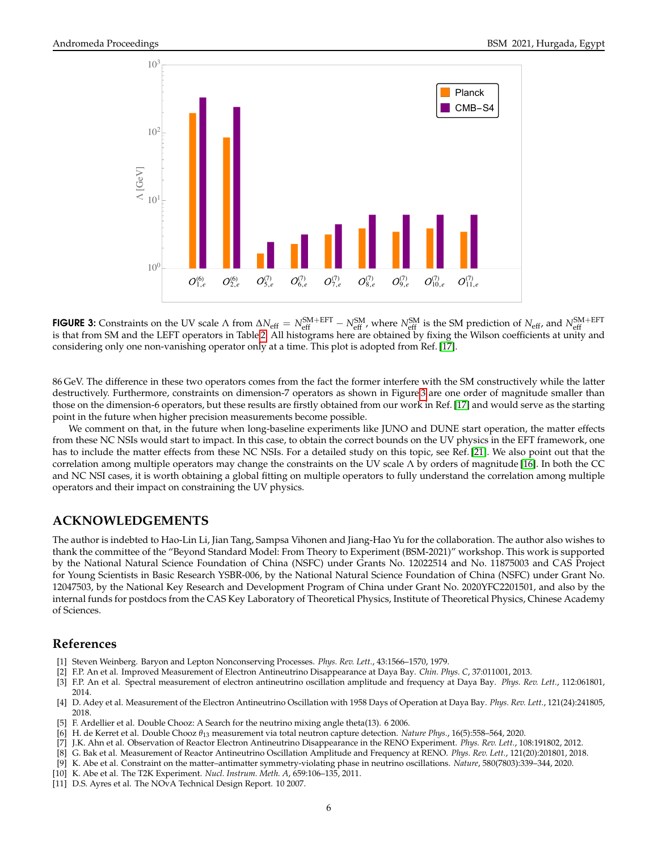

<span id="page-5-11"></span>FIGURE 3: Constraints on the UV scale  $\Lambda$  from  $\Delta N_{\text{eff}} = N_{\text{eff}}^{\text{SM+EFT}} - N_{\text{eff}}^{\text{SM}}$ , where  $N_{\text{eff}}^{\text{SM}}$  is the SM prediction of  $N_{\text{eff}}$ , and  $N_{\text{eff}}^{\text{SM+EFT}}$ is that from SM and the LEFT operators in Table [2.](#page-3-0) All histograms here are obtained by fixing the Wilson coefficients at unity and considering only one non-vanishing operator only at a time. This plot is adopted from Ref. [\[17\]](#page-6-5).

86 GeV. The difference in these two operators comes from the fact the former interfere with the SM constructively while the latter destructively. Furthermore, constraints on dimension-7 operators as shown in Figure [3](#page-5-11) are one order of magnitude smaller than those on the dimension-6 operators, but these results are firstly obtained from our work in Ref. [\[17\]](#page-6-5) and would serve as the starting point in the future when higher precision measurements become possible.

We comment on that, in the future when long-baseline experiments like JUNO and DUNE start operation, the matter effects from these NC NSIs would start to impact. In this case, to obtain the correct bounds on the UV physics in the EFT framework, one has to include the matter effects from these NC NSIs. For a detailed study on this topic, see Ref. [\[21\]](#page-6-9). We also point out that the correlation among multiple operators may change the constraints on the UV scale Λ by orders of magnitude [\[16\]](#page-6-4). In both the CC and NC NSI cases, it is worth obtaining a global fitting on multiple operators to fully understand the correlation among multiple operators and their impact on constraining the UV physics.

# **ACKNOWLEDGEMENTS**

The author is indebted to Hao-Lin Li, Jian Tang, Sampsa Vihonen and Jiang-Hao Yu for the collaboration. The author also wishes to thank the committee of the "Beyond Standard Model: From Theory to Experiment (BSM-2021)" workshop. This work is supported by the National Natural Science Foundation of China (NSFC) under Grants No. 12022514 and No. 11875003 and CAS Project for Young Scientists in Basic Research YSBR-006, by the National Natural Science Foundation of China (NSFC) under Grant No. 12047503, by the National Key Research and Development Program of China under Grant No. 2020YFC2201501, and also by the internal funds for postdocs from the CAS Key Laboratory of Theoretical Physics, Institute of Theoretical Physics, Chinese Academy of Sciences.

### **References**

- <span id="page-5-0"></span>[1] Steven Weinberg. Baryon and Lepton Nonconserving Processes. *Phys. Rev. Lett.*, 43:1566–1570, 1979.
- <span id="page-5-1"></span>[2] F.P. An et al. Improved Measurement of Electron Antineutrino Disappearance at Daya Bay. *Chin. Phys. C*, 37:011001, 2013.
- <span id="page-5-2"></span>[3] F.P. An et al. Spectral measurement of electron antineutrino oscillation amplitude and frequency at Daya Bay. *Phys. Rev. Lett.*, 112:061801, 2014.
- <span id="page-5-3"></span>[4] D. Adey et al. Measurement of the Electron Antineutrino Oscillation with 1958 Days of Operation at Daya Bay. *Phys. Rev. Lett.*, 121(24):241805, 2018.
- <span id="page-5-4"></span>[5] F. Ardellier et al. Double Chooz: A Search for the neutrino mixing angle theta(13). 6 2006.
- <span id="page-5-5"></span>[6] H. de Kerret et al. Double Chooz *θ*<sup>13</sup> measurement via total neutron capture detection. *Nature Phys.*, 16(5):558–564, 2020.
- <span id="page-5-6"></span>[7] J.K. Ahn et al. Observation of Reactor Electron Antineutrino Disappearance in the RENO Experiment. *Phys. Rev. Lett.*, 108:191802, 2012.
- <span id="page-5-7"></span>[8] G. Bak et al. Measurement of Reactor Antineutrino Oscillation Amplitude and Frequency at RENO. *Phys. Rev. Lett.*, 121(20):201801, 2018.
- <span id="page-5-8"></span>[9] K. Abe et al. Constraint on the matter–antimatter symmetry-violating phase in neutrino oscillations. *Nature*, 580(7803):339–344, 2020.
- <span id="page-5-9"></span>[10] K. Abe et al. The T2K Experiment. *Nucl. Instrum. Meth. A*, 659:106–135, 2011.
- <span id="page-5-10"></span>[11] D.S. Ayres et al. The NOvA Technical Design Report. 10 2007.